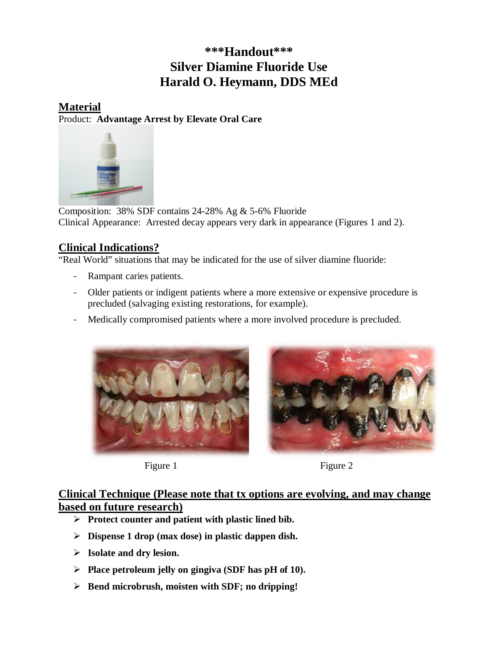# **\*\*\*Handout\*\*\* Silver Diamine Fluoride Use Harald O. Heymann, DDS MEd**

### **Material** Product: **Advantage Arrest by Elevate Oral Care**



Composition: 38% SDF contains 24-28% Ag & 5-6% Fluoride Clinical Appearance: Arrested decay appears very dark in appearance (Figures 1 and 2).

## **Clinical Indications?**

"Real World" situations that may be indicated for the use of silver diamine fluoride:

- Rampant caries patients.
- Older patients or indigent patients where a more extensive or expensive procedure is precluded (salvaging existing restorations, for example).
- Medically compromised patients where a more involved procedure is precluded.





Figure 1 Figure 2

### **Clinical Technique (Please note that tx options are evolving, and may change based on future research)**

- **Protect counter and patient with plastic lined bib.**
- **Dispense 1 drop (max dose) in plastic dappen dish.**
- **Isolate and dry lesion.**
- **Place petroleum jelly on gingiva (SDF has pH of 10).**
- **Bend microbrush, moisten with SDF; no dripping!**